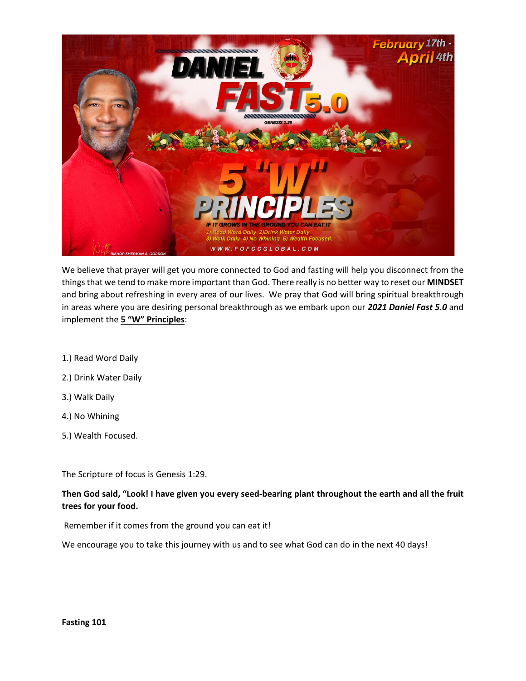

We believe that prayer will get you more connected to God and fasting will help you disconnect from the things that we tend to make more important than God. There really is no better way to reset our **MINDSET** and bring about refreshing in every area of our lives. We pray that God will bring spiritual breakthrough in areas where you are desiring personal breakthrough as we embark upon our *2021 Daniel Fast 5.0* and implement the **5 "W" Principles**:

- 1.) Read Word Daily
- 2.) Drink Water Daily
- 3.) Walk Daily
- 4.) No Whining
- 5.) Wealth Focused.

The Scripture of focus is Genesis 1:29.

**Then God said, "Look! I have given you every seed-bearing plant throughout the earth and all the fruit trees for your food.**

Remember if it comes from the ground you can eat it!

We encourage you to take this journey with us and to see what God can do in the next 40 days!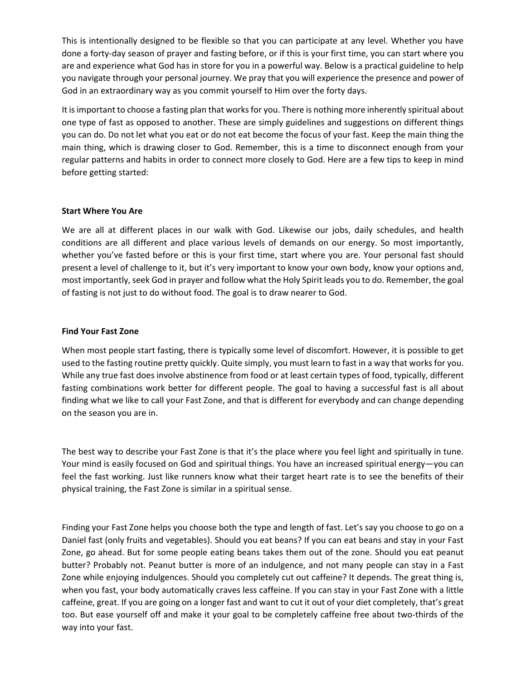This is intentionally designed to be flexible so that you can participate at any level. Whether you have done a forty-day season of prayer and fasting before, or if this is your first time, you can start where you are and experience what God has in store for you in a powerful way. Below is a practical guideline to help you navigate through your personal journey. We pray that you will experience the presence and power of God in an extraordinary way as you commit yourself to Him over the forty days.

It is important to choose a fasting plan that works for you. There is nothing more inherently spiritual about one type of fast as opposed to another. These are simply guidelines and suggestions on different things you can do. Do not let what you eat or do not eat become the focus of your fast. Keep the main thing the main thing, which is drawing closer to God. Remember, this is a time to disconnect enough from your regular patterns and habits in order to connect more closely to God. Here are a few tips to keep in mind before getting started:

# **Start Where You Are**

We are all at different places in our walk with God. Likewise our jobs, daily schedules, and health conditions are all different and place various levels of demands on our energy. So most importantly, whether you've fasted before or this is your first time, start where you are. Your personal fast should present a level of challenge to it, but it's very important to know your own body, know your options and, most importantly, seek God in prayer and follow what the Holy Spirit leads you to do. Remember, the goal of fasting is not just to do without food. The goal is to draw nearer to God.

# **Find Your Fast Zone**

When most people start fasting, there is typically some level of discomfort. However, it is possible to get used to the fasting routine pretty quickly. Quite simply, you must learn to fast in a way that works for you. While any true fast does involve abstinence from food or at least certain types of food, typically, different fasting combinations work better for different people. The goal to having a successful fast is all about finding what we like to call your Fast Zone, and that is different for everybody and can change depending on the season you are in.

The best way to describe your Fast Zone is that it's the place where you feel light and spiritually in tune. Your mind is easily focused on God and spiritual things. You have an increased spiritual energy—you can feel the fast working. Just like runners know what their target heart rate is to see the benefits of their physical training, the Fast Zone is similar in a spiritual sense.

Finding your Fast Zone helps you choose both the type and length of fast. Let's say you choose to go on a Daniel fast (only fruits and vegetables). Should you eat beans? If you can eat beans and stay in your Fast Zone, go ahead. But for some people eating beans takes them out of the zone. Should you eat peanut butter? Probably not. Peanut butter is more of an indulgence, and not many people can stay in a Fast Zone while enjoying indulgences. Should you completely cut out caffeine? It depends. The great thing is, when you fast, your body automatically craves less caffeine. If you can stay in your Fast Zone with a little caffeine, great. If you are going on a longer fast and want to cut it out of your diet completely, that's great too. But ease yourself off and make it your goal to be completely caffeine free about two-thirds of the way into your fast.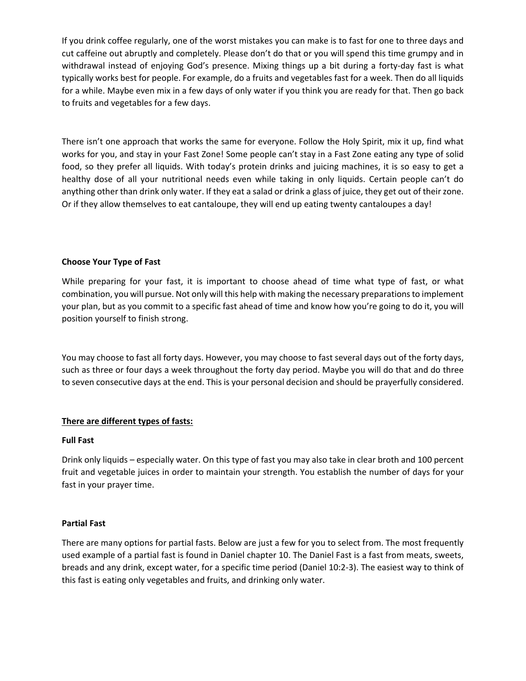If you drink coffee regularly, one of the worst mistakes you can make is to fast for one to three days and cut caffeine out abruptly and completely. Please don't do that or you will spend this time grumpy and in withdrawal instead of enjoying God's presence. Mixing things up a bit during a forty-day fast is what typically works best for people. For example, do a fruits and vegetables fast for a week. Then do all liquids for a while. Maybe even mix in a few days of only water if you think you are ready for that. Then go back to fruits and vegetables for a few days.

There isn't one approach that works the same for everyone. Follow the Holy Spirit, mix it up, find what works for you, and stay in your Fast Zone! Some people can't stay in a Fast Zone eating any type of solid food, so they prefer all liquids. With today's protein drinks and juicing machines, it is so easy to get a healthy dose of all your nutritional needs even while taking in only liquids. Certain people can't do anything other than drink only water. If they eat a salad or drink a glass of juice, they get out of their zone. Or if they allow themselves to eat cantaloupe, they will end up eating twenty cantaloupes a day!

# **Choose Your Type of Fast**

While preparing for your fast, it is important to choose ahead of time what type of fast, or what combination, you will pursue. Not only will this help with making the necessary preparations to implement your plan, but as you commit to a specific fast ahead of time and know how you're going to do it, you will position yourself to finish strong.

You may choose to fast all forty days. However, you may choose to fast several days out of the forty days, such as three or four days a week throughout the forty day period. Maybe you will do that and do three to seven consecutive days at the end. This is your personal decision and should be prayerfully considered.

# **There are different types of fasts:**

# **Full Fast**

Drink only liquids – especially water. On this type of fast you may also take in clear broth and 100 percent fruit and vegetable juices in order to maintain your strength. You establish the number of days for your fast in your prayer time.

# **Partial Fast**

There are many options for partial fasts. Below are just a few for you to select from. The most frequently used example of a partial fast is found in Daniel chapter 10. The Daniel Fast is a fast from meats, sweets, breads and any drink, except water, for a specific time period (Daniel 10:2-3). The easiest way to think of this fast is eating only vegetables and fruits, and drinking only water.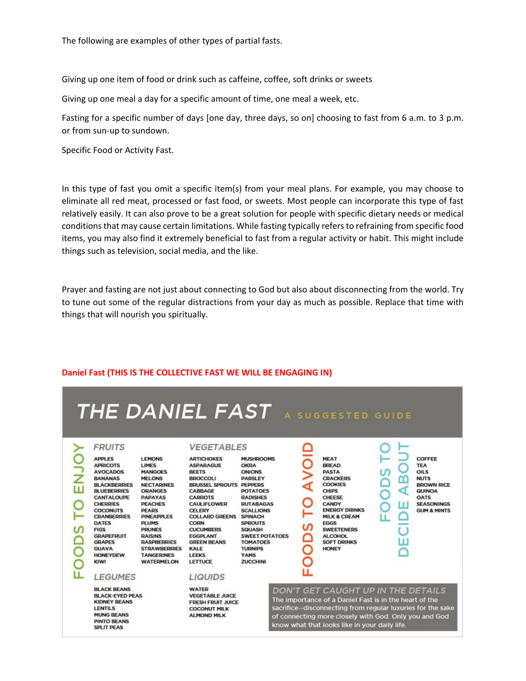The following are examples of other types of partial fasts.

Giving up one item of food or drink such as caffeine, coffee, soft drinks or sweets

Giving up one meal a day for a specific amount of time, one meal a week, etc.

Fasting for a specific number of days [one day, three days, so on] choosing to fast from 6 a.m. to 3 p.m. or from sun-up to sundown.

Specific Food or Activity Fast.

In this type of fast you omit a specific item(s) from your meal plans. For example, you may choose to eliminate all red meat, processed or fast food, or sweets. Most people can incorporate this type of fast relatively easily. It can also prove to be a great solution for people with specific dietary needs or medical conditions that may cause certain limitations. While fasting typically refers to refraining from specific food items, you may also find it extremely beneficial to fast from a regular activity or habit. This might include things such as television, social media, and the like.

Prayer and fasting are not just about connecting to God but also about disconnecting from the world. Try to tune out some of the regular distractions from your day as much as possible. Replace that time with things that will nourish you spiritually.



#### **Daniel Fast (THIS IS THE COLLECTIVE FAST WE WILL BE ENGAGING IN)**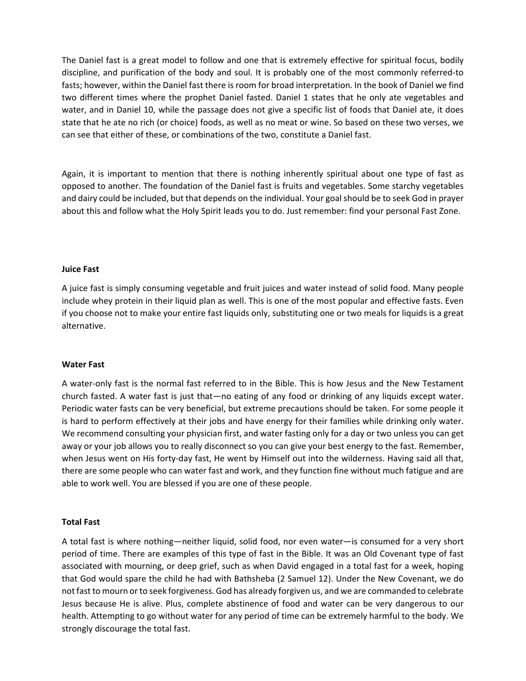The Daniel fast is a great model to follow and one that is extremely effective for spiritual focus, bodily discipline, and purification of the body and soul. It is probably one of the most commonly referred-to fasts; however, within the Daniel fast there is room for broad interpretation. In the book of Daniel we find two different times where the prophet Daniel fasted. Daniel 1 states that he only ate vegetables and water, and in Daniel 10, while the passage does not give a specific list of foods that Daniel ate, it does state that he ate no rich (or choice) foods, as well as no meat or wine. So based on these two verses, we can see that either of these, or combinations of the two, constitute a Daniel fast.

Again, it is important to mention that there is nothing inherently spiritual about one type of fast as opposed to another. The foundation of the Daniel fast is fruits and vegetables. Some starchy vegetables and dairy could be included, but that depends on the individual. Your goal should be to seek God in prayer about this and follow what the Holy Spirit leads you to do. Just remember: find your personal Fast Zone.

### **Juice Fast**

A juice fast is simply consuming vegetable and fruit juices and water instead of solid food. Many people include whey protein in their liquid plan as well. This is one of the most popular and effective fasts. Even if you choose not to make your entire fast liquids only, substituting one or two meals for liquids is a great alternative.

# **Water Fast**

A water-only fast is the normal fast referred to in the Bible. This is how Jesus and the New Testament church fasted. A water fast is just that—no eating of any food or drinking of any liquids except water. Periodic water fasts can be very beneficial, but extreme precautions should be taken. For some people it is hard to perform effectively at their jobs and have energy for their families while drinking only water. We recommend consulting your physician first, and water fasting only for a day or two unless you can get away or your job allows you to really disconnect so you can give your best energy to the fast. Remember, when Jesus went on His forty-day fast, He went by Himself out into the wilderness. Having said all that, there are some people who can water fast and work, and they function fine without much fatigue and are able to work well. You are blessed if you are one of these people.

# **Total Fast**

A total fast is where nothing—neither liquid, solid food, nor even water—is consumed for a very short period of time. There are examples of this type of fast in the Bible. It was an Old Covenant type of fast associated with mourning, or deep grief, such as when David engaged in a total fast for a week, hoping that God would spare the child he had with Bathsheba (2 Samuel 12). Under the New Covenant, we do not fast to mourn or to seek forgiveness. God has already forgiven us, and we are commanded to celebrate Jesus because He is alive. Plus, complete abstinence of food and water can be very dangerous to our health. Attempting to go without water for any period of time can be extremely harmful to the body. We strongly discourage the total fast.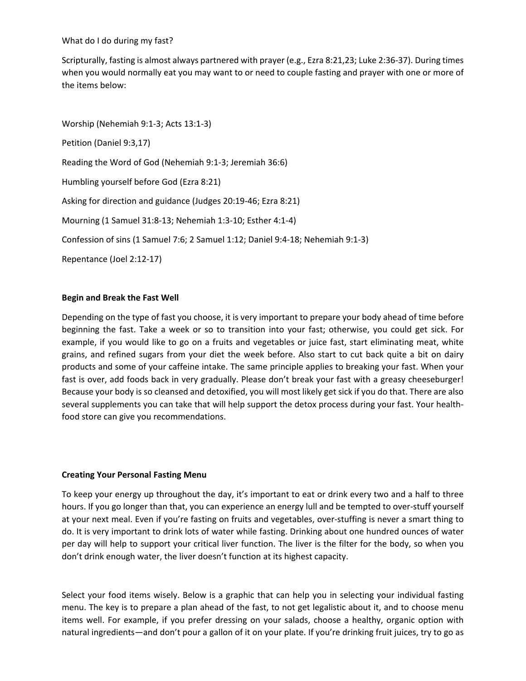What do I do during my fast?

Scripturally, fasting is almost always partnered with prayer (e.g., Ezra 8:21,23; Luke 2:36-37). During times when you would normally eat you may want to or need to couple fasting and prayer with one or more of the items below:

Worship (Nehemiah 9:1-3; Acts 13:1-3) Petition (Daniel 9:3,17) Reading the Word of God (Nehemiah 9:1-3; Jeremiah 36:6) Humbling yourself before God (Ezra 8:21) Asking for direction and guidance (Judges 20:19-46; Ezra 8:21) Mourning (1 Samuel 31:8-13; Nehemiah 1:3-10; Esther 4:1-4) Confession of sins (1 Samuel 7:6; 2 Samuel 1:12; Daniel 9:4-18; Nehemiah 9:1-3) Repentance (Joel 2:12-17)

# **Begin and Break the Fast Well**

Depending on the type of fast you choose, it is very important to prepare your body ahead of time before beginning the fast. Take a week or so to transition into your fast; otherwise, you could get sick. For example, if you would like to go on a fruits and vegetables or juice fast, start eliminating meat, white grains, and refined sugars from your diet the week before. Also start to cut back quite a bit on dairy products and some of your caffeine intake. The same principle applies to breaking your fast. When your fast is over, add foods back in very gradually. Please don't break your fast with a greasy cheeseburger! Because your body is so cleansed and detoxified, you will most likely get sick if you do that. There are also several supplements you can take that will help support the detox process during your fast. Your healthfood store can give you recommendations.

#### **Creating Your Personal Fasting Menu**

To keep your energy up throughout the day, it's important to eat or drink every two and a half to three hours. If you go longer than that, you can experience an energy lull and be tempted to over-stuff yourself at your next meal. Even if you're fasting on fruits and vegetables, over-stuffing is never a smart thing to do. It is very important to drink lots of water while fasting. Drinking about one hundred ounces of water per day will help to support your critical liver function. The liver is the filter for the body, so when you don't drink enough water, the liver doesn't function at its highest capacity.

Select your food items wisely. Below is a graphic that can help you in selecting your individual fasting menu. The key is to prepare a plan ahead of the fast, to not get legalistic about it, and to choose menu items well. For example, if you prefer dressing on your salads, choose a healthy, organic option with natural ingredients—and don't pour a gallon of it on your plate. If you're drinking fruit juices, try to go as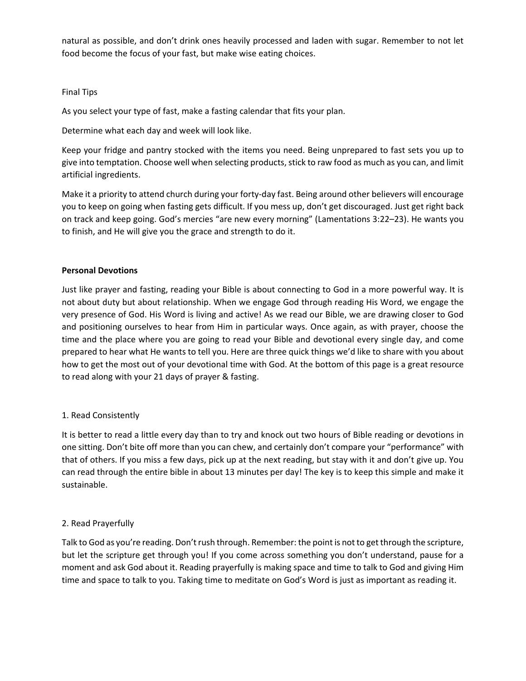natural as possible, and don't drink ones heavily processed and laden with sugar. Remember to not let food become the focus of your fast, but make wise eating choices.

# Final Tips

As you select your type of fast, make a fasting calendar that fits your plan.

Determine what each day and week will look like.

Keep your fridge and pantry stocked with the items you need. Being unprepared to fast sets you up to give into temptation. Choose well when selecting products, stick to raw food as much as you can, and limit artificial ingredients.

Make it a priority to attend church during your forty-day fast. Being around other believers will encourage you to keep on going when fasting gets difficult. If you mess up, don't get discouraged. Just get right back on track and keep going. God's mercies "are new every morning" (Lamentations 3:22–23). He wants you to finish, and He will give you the grace and strength to do it.

# **Personal Devotions**

Just like prayer and fasting, reading your Bible is about connecting to God in a more powerful way. It is not about duty but about relationship. When we engage God through reading His Word, we engage the very presence of God. His Word is living and active! As we read our Bible, we are drawing closer to God and positioning ourselves to hear from Him in particular ways. Once again, as with prayer, choose the time and the place where you are going to read your Bible and devotional every single day, and come prepared to hear what He wants to tell you. Here are three quick things we'd like to share with you about how to get the most out of your devotional time with God. At the bottom of this page is a great resource to read along with your 21 days of prayer & fasting.

# 1. Read Consistently

It is better to read a little every day than to try and knock out two hours of Bible reading or devotions in one sitting. Don't bite off more than you can chew, and certainly don't compare your "performance" with that of others. If you miss a few days, pick up at the next reading, but stay with it and don't give up. You can read through the entire bible in about 13 minutes per day! The key is to keep this simple and make it sustainable.

# 2. Read Prayerfully

Talk to God as you're reading. Don't rush through. Remember: the point is not to get through the scripture, but let the scripture get through you! If you come across something you don't understand, pause for a moment and ask God about it. Reading prayerfully is making space and time to talk to God and giving Him time and space to talk to you. Taking time to meditate on God's Word is just as important as reading it.